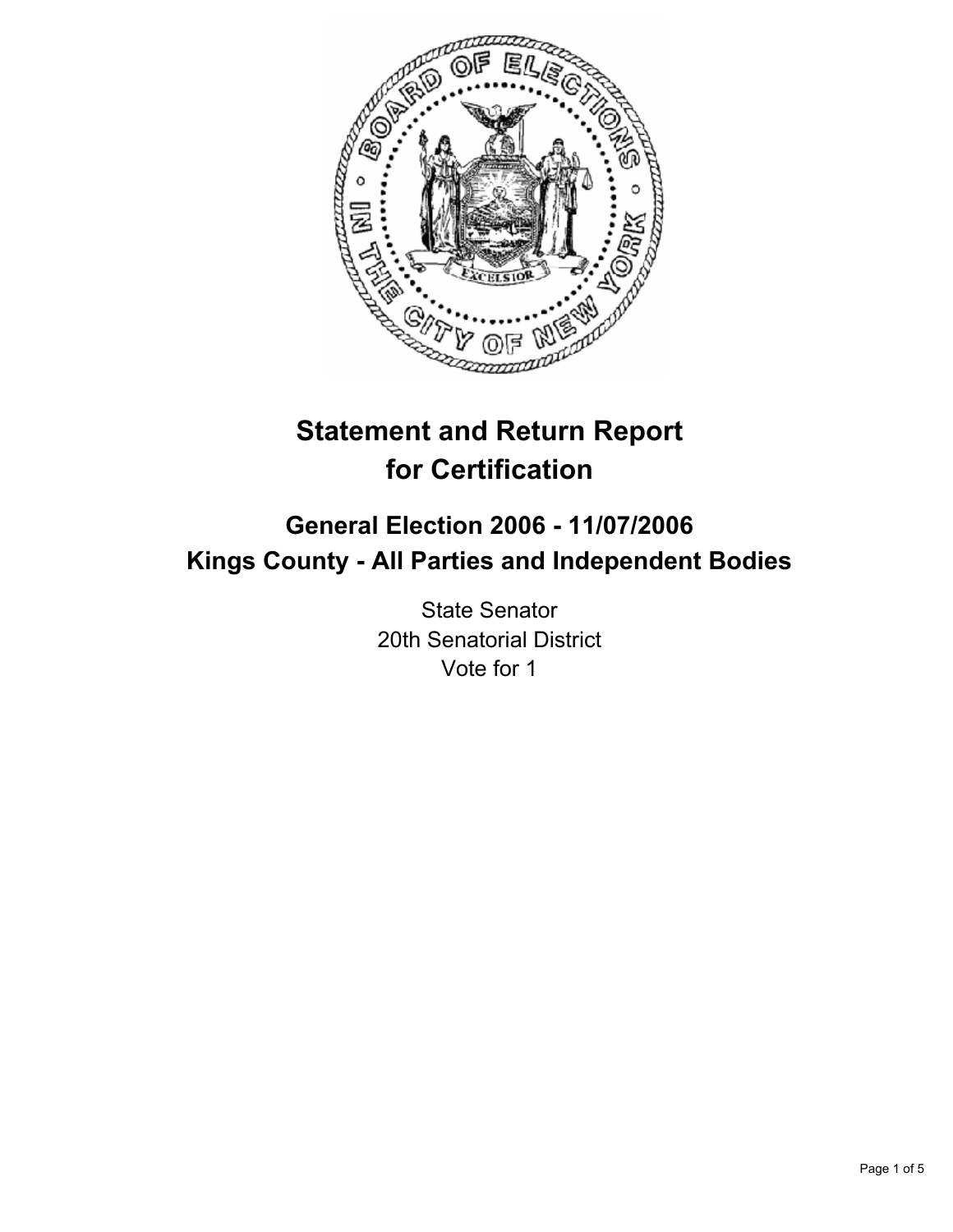

# **Statement and Return Report for Certification**

## **General Election 2006 - 11/07/2006 Kings County - All Parties and Independent Bodies**

State Senator 20th Senatorial District Vote for 1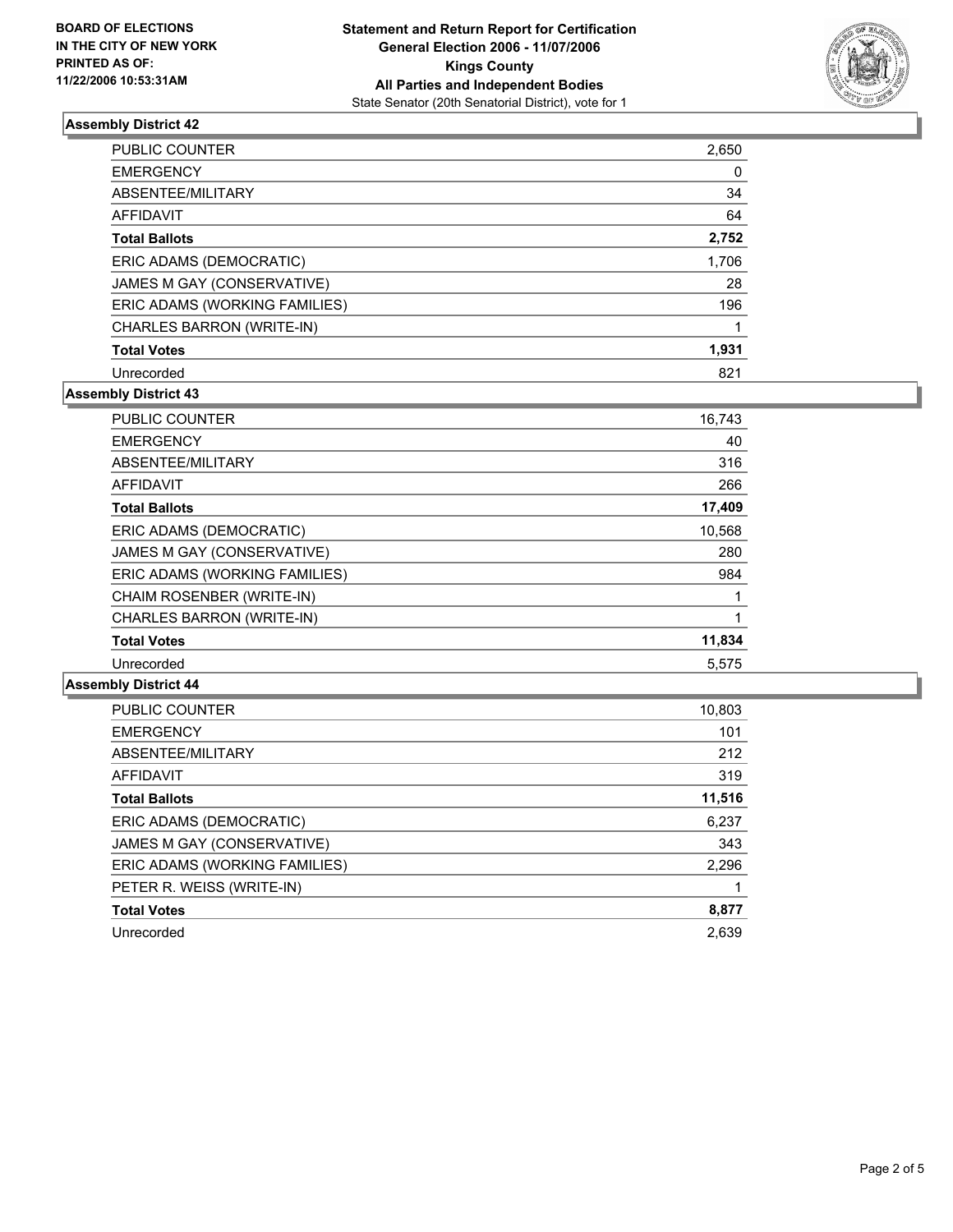

#### **Assembly District 42**

| <b>PUBLIC COUNTER</b>         | 2,650 |
|-------------------------------|-------|
| <b>EMERGENCY</b>              |       |
| ABSENTEE/MILITARY             | 34    |
| AFFIDAVIT                     | 64    |
| <b>Total Ballots</b>          | 2,752 |
| ERIC ADAMS (DEMOCRATIC)       | 1,706 |
| JAMES M GAY (CONSERVATIVE)    | 28    |
| ERIC ADAMS (WORKING FAMILIES) | 196   |
| CHARLES BARRON (WRITE-IN)     |       |
| <b>Total Votes</b>            | 1,931 |
| Unrecorded                    | 821   |

#### **Assembly District 43**

| <b>PUBLIC COUNTER</b>            | 16,743 |
|----------------------------------|--------|
| <b>EMERGENCY</b>                 | 40     |
| ABSENTEE/MILITARY                | 316    |
| <b>AFFIDAVIT</b>                 | 266    |
| <b>Total Ballots</b>             | 17,409 |
| ERIC ADAMS (DEMOCRATIC)          | 10,568 |
| JAMES M GAY (CONSERVATIVE)       | 280    |
| ERIC ADAMS (WORKING FAMILIES)    | 984    |
| CHAIM ROSENBER (WRITE-IN)        |        |
| <b>CHARLES BARRON (WRITE-IN)</b> |        |
| <b>Total Votes</b>               | 11,834 |
| Unrecorded                       | 5,575  |

#### **Assembly District 44**

| PUBLIC COUNTER                | 10,803 |
|-------------------------------|--------|
| <b>EMERGENCY</b>              | 101    |
| ABSENTEE/MILITARY             | 212    |
| AFFIDAVIT                     | 319    |
| <b>Total Ballots</b>          | 11,516 |
| ERIC ADAMS (DEMOCRATIC)       | 6,237  |
| JAMES M GAY (CONSERVATIVE)    | 343    |
| ERIC ADAMS (WORKING FAMILIES) | 2,296  |
| PETER R. WEISS (WRITE-IN)     |        |
| <b>Total Votes</b>            | 8,877  |
| Unrecorded                    | 2.639  |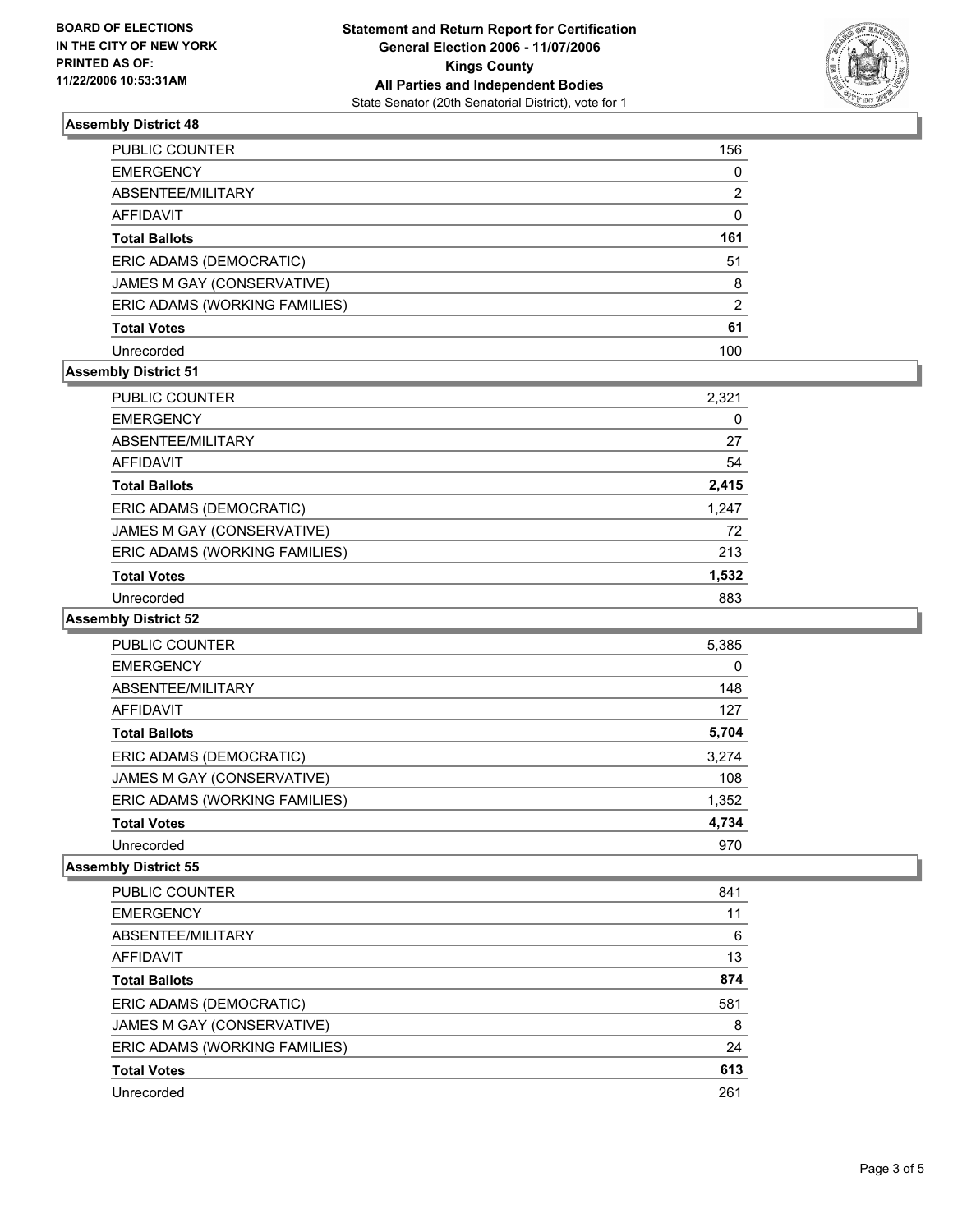

#### **Assembly District 48**

| PUBLIC COUNTER                | 156 |
|-------------------------------|-----|
| <b>EMERGENCY</b>              | 0   |
| ABSENTEE/MILITARY             | 2   |
| AFFIDAVIT                     |     |
| <b>Total Ballots</b>          | 161 |
| ERIC ADAMS (DEMOCRATIC)       | 51  |
| JAMES M GAY (CONSERVATIVE)    | 8   |
| ERIC ADAMS (WORKING FAMILIES) | 2   |
| <b>Total Votes</b>            | 61  |
| Unrecorded                    | 100 |

### **Assembly District 51**

| <b>PUBLIC COUNTER</b>         | 2,321 |
|-------------------------------|-------|
| <b>EMERGENCY</b>              | 0     |
| ABSENTEE/MILITARY             | 27    |
| AFFIDAVIT                     | 54    |
| <b>Total Ballots</b>          | 2,415 |
| ERIC ADAMS (DEMOCRATIC)       | 1,247 |
| JAMES M GAY (CONSERVATIVE)    | 72    |
| ERIC ADAMS (WORKING FAMILIES) | 213   |
| <b>Total Votes</b>            | 1,532 |
| Unrecorded                    | 883   |

#### **Assembly District 52**

| <b>PUBLIC COUNTER</b>         | 5,385 |
|-------------------------------|-------|
| <b>EMERGENCY</b>              |       |
| ABSENTEE/MILITARY             | 148   |
| <b>AFFIDAVIT</b>              | 127   |
| <b>Total Ballots</b>          | 5,704 |
| ERIC ADAMS (DEMOCRATIC)       | 3,274 |
| JAMES M GAY (CONSERVATIVE)    | 108   |
| ERIC ADAMS (WORKING FAMILIES) | 1,352 |
| <b>Total Votes</b>            | 4,734 |
| Unrecorded                    | 970   |

#### **Assembly District 55**

| PUBLIC COUNTER                | 841 |
|-------------------------------|-----|
| <b>EMERGENCY</b>              | 11  |
| ABSENTEE/MILITARY             | 6   |
| AFFIDAVIT                     | 13  |
| <b>Total Ballots</b>          | 874 |
| ERIC ADAMS (DEMOCRATIC)       | 581 |
| JAMES M GAY (CONSERVATIVE)    | 8   |
| ERIC ADAMS (WORKING FAMILIES) | 24  |
| <b>Total Votes</b>            | 613 |
| Unrecorded                    | 261 |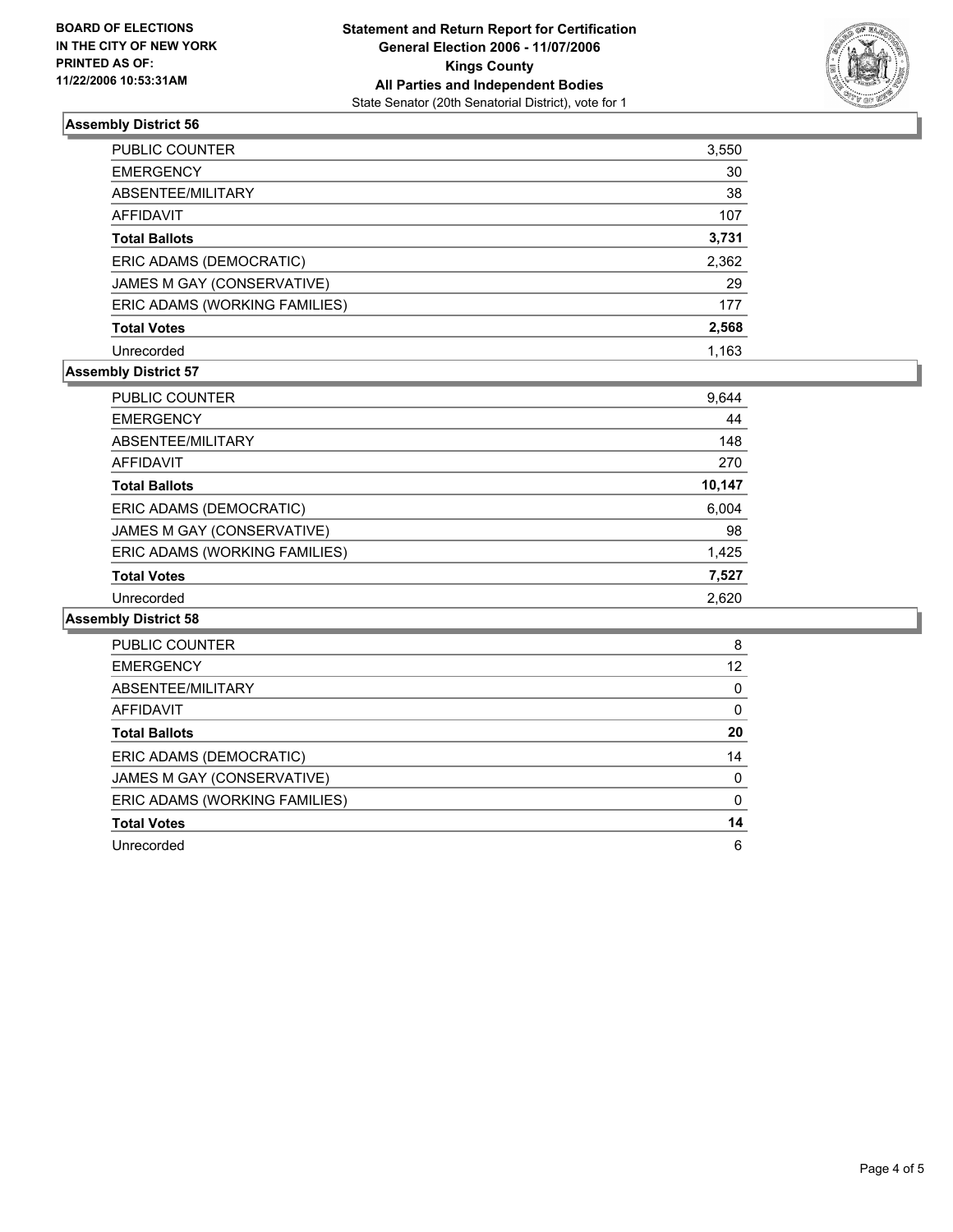

#### **Assembly District 56**

| PUBLIC COUNTER                | 3,550 |
|-------------------------------|-------|
| <b>EMERGENCY</b>              | 30    |
| ABSENTEE/MILITARY             | 38    |
| AFFIDAVIT                     | 107   |
| <b>Total Ballots</b>          | 3,731 |
| ERIC ADAMS (DEMOCRATIC)       | 2,362 |
| JAMES M GAY (CONSERVATIVE)    | 29    |
| ERIC ADAMS (WORKING FAMILIES) | 177   |
| <b>Total Votes</b>            | 2,568 |
| Unrecorded                    | 1.163 |

#### **Assembly District 57**

| PUBLIC COUNTER                | 9,644  |
|-------------------------------|--------|
| <b>EMERGENCY</b>              | 44     |
| ABSENTEE/MILITARY             | 148    |
| AFFIDAVIT                     | 270    |
| <b>Total Ballots</b>          | 10,147 |
| ERIC ADAMS (DEMOCRATIC)       | 6,004  |
| JAMES M GAY (CONSERVATIVE)    | 98     |
| ERIC ADAMS (WORKING FAMILIES) | 1,425  |
| <b>Total Votes</b>            | 7,527  |
| Unrecorded                    | 2.620  |

#### **Assembly District 58**

| PUBLIC COUNTER                | 8 |
|-------------------------------|---|
| <b>EMERGENCY</b><br>12        |   |
| ABSENTEE/MILITARY             |   |
| AFFIDAVIT                     |   |
| 20<br><b>Total Ballots</b>    |   |
| ERIC ADAMS (DEMOCRATIC)<br>14 |   |
| JAMES M GAY (CONSERVATIVE)    |   |
| ERIC ADAMS (WORKING FAMILIES) |   |
| <b>Total Votes</b><br>14      |   |
| Unrecorded                    | 6 |